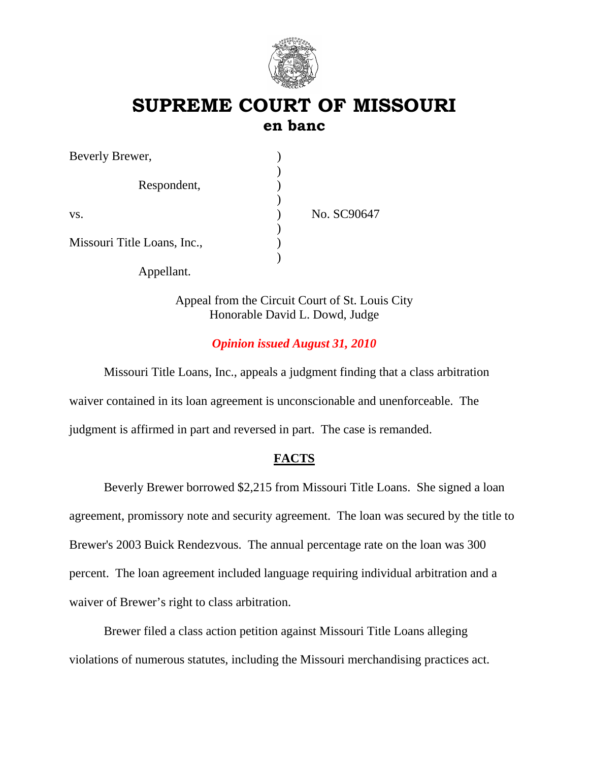

# **SUPREME COURT OF MISSOURI en banc**

| Beverly Brewer,             |             |
|-----------------------------|-------------|
| Respondent,                 |             |
| VS.                         | No. SC90647 |
|                             |             |
| Missouri Title Loans, Inc., |             |
|                             |             |
| Appellant.                  |             |

Appeal from the Circuit Court of St. Louis City Honorable David L. Dowd, Judge

## *Opinion issued August 31, 2010*

 Missouri Title Loans, Inc., appeals a judgment finding that a class arbitration waiver contained in its loan agreement is unconscionable and unenforceable. The judgment is affirmed in part and reversed in part. The case is remanded.

## **FACTS**

Beverly Brewer borrowed \$2,215 from Missouri Title Loans. She signed a loan agreement, promissory note and security agreement. The loan was secured by the title to Brewer's 2003 Buick Rendezvous. The annual percentage rate on the loan was 300 percent. The loan agreement included language requiring individual arbitration and a waiver of Brewer's right to class arbitration.

Brewer filed a class action petition against Missouri Title Loans alleging violations of numerous statutes, including the Missouri merchandising practices act.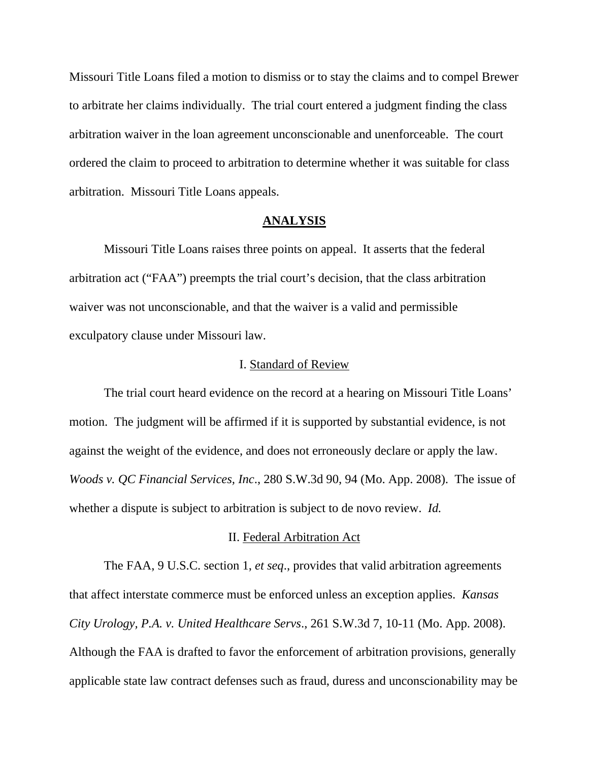Missouri Title Loans filed a motion to dismiss or to stay the claims and to compel Brewer to arbitrate her claims individually. The trial court entered a judgment finding the class arbitration waiver in the loan agreement unconscionable and unenforceable. The court ordered the claim to proceed to arbitration to determine whether it was suitable for class arbitration. Missouri Title Loans appeals.

### **ANALYSIS**

 Missouri Title Loans raises three points on appeal. It asserts that the federal arbitration act ("FAA") preempts the trial court's decision, that the class arbitration waiver was not unconscionable, and that the waiver is a valid and permissible exculpatory clause under Missouri law.

### I. Standard of Review

 The trial court heard evidence on the record at a hearing on Missouri Title Loans' motion. The judgment will be affirmed if it is supported by substantial evidence, is not against the weight of the evidence, and does not erroneously declare or apply the law. *Woods v. QC Financial Services, Inc*., 280 S.W.3d 90, 94 (Mo. App. 2008). The issue of whether a dispute is subject to arbitration is subject to de novo review. *Id.*

#### II. Federal Arbitration Act

The FAA, 9 U.S.C. section 1, *et seq*., provides that valid arbitration agreements that affect interstate commerce must be enforced unless an exception applies. *Kansas City Urology, P.A. v. United Healthcare Servs*., 261 S.W.3d 7, 10-11 (Mo. App. 2008). Although the FAA is drafted to favor the enforcement of arbitration provisions, generally applicable state law contract defenses such as fraud, duress and unconscionability may be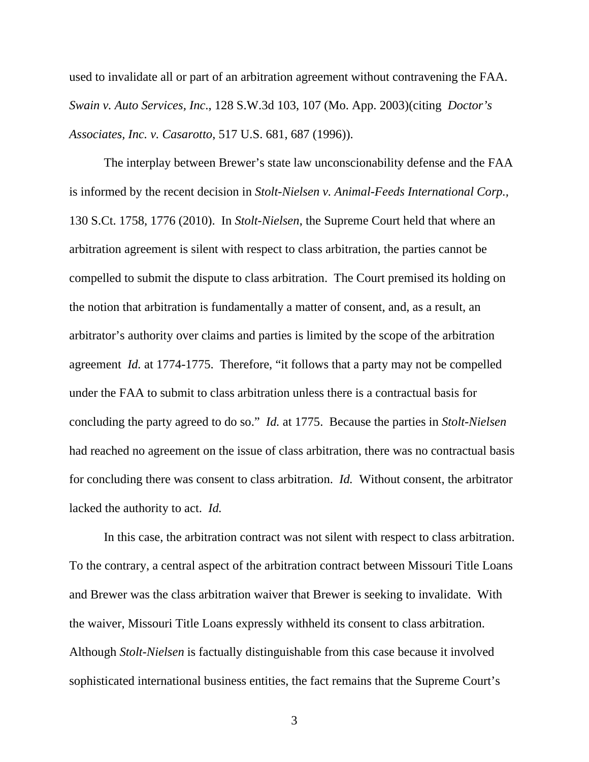used to invalidate all or part of an arbitration agreement without contravening the FAA. *Swain v. Auto Services, Inc*., 128 S.W.3d 103, 107 (Mo. App. 2003)(citing *Doctor's Associates, Inc. v. Casarotto*, 517 U.S. 681, 687 (1996)).

The interplay between Brewer's state law unconscionability defense and the FAA is informed by the recent decision in *Stolt-Nielsen v. Animal-Feeds International Corp.,*  130 S.Ct. 1758, 1776 (2010). In *Stolt-Nielsen*, the Supreme Court held that where an arbitration agreement is silent with respect to class arbitration, the parties cannot be compelled to submit the dispute to class arbitration. The Court premised its holding on the notion that arbitration is fundamentally a matter of consent, and, as a result, an arbitrator's authority over claims and parties is limited by the scope of the arbitration agreement *Id.* at 1774-1775. Therefore, "it follows that a party may not be compelled under the FAA to submit to class arbitration unless there is a contractual basis for concluding the party agreed to do so." *Id.* at 1775.Because the parties in *Stolt-Nielsen*  had reached no agreement on the issue of class arbitration, there was no contractual basis for concluding there was consent to class arbitration. *Id.* Without consent, the arbitrator lacked the authority to act. *Id.* 

In this case, the arbitration contract was not silent with respect to class arbitration. To the contrary, a central aspect of the arbitration contract between Missouri Title Loans and Brewer was the class arbitration waiver that Brewer is seeking to invalidate. With the waiver, Missouri Title Loans expressly withheld its consent to class arbitration. Although *Stolt-Nielsen* is factually distinguishable from this case because it involved sophisticated international business entities, the fact remains that the Supreme Court's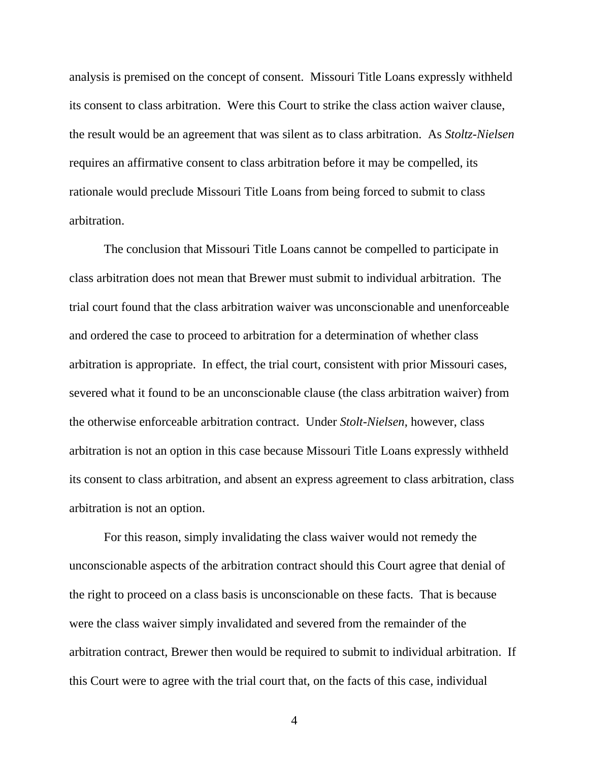analysis is premised on the concept of consent. Missouri Title Loans expressly withheld its consent to class arbitration. Were this Court to strike the class action waiver clause, the result would be an agreement that was silent as to class arbitration. As *Stoltz-Nielsen* requires an affirmative consent to class arbitration before it may be compelled, its rationale would preclude Missouri Title Loans from being forced to submit to class arbitration.

The conclusion that Missouri Title Loans cannot be compelled to participate in class arbitration does not mean that Brewer must submit to individual arbitration. The trial court found that the class arbitration waiver was unconscionable and unenforceable and ordered the case to proceed to arbitration for a determination of whether class arbitration is appropriate. In effect, the trial court, consistent with prior Missouri cases, severed what it found to be an unconscionable clause (the class arbitration waiver) from the otherwise enforceable arbitration contract. Under *Stolt-Nielsen*, however, class arbitration is not an option in this case because Missouri Title Loans expressly withheld its consent to class arbitration, and absent an express agreement to class arbitration, class arbitration is not an option.

For this reason, simply invalidating the class waiver would not remedy the unconscionable aspects of the arbitration contract should this Court agree that denial of the right to proceed on a class basis is unconscionable on these facts. That is because were the class waiver simply invalidated and severed from the remainder of the arbitration contract, Brewer then would be required to submit to individual arbitration. If this Court were to agree with the trial court that, on the facts of this case, individual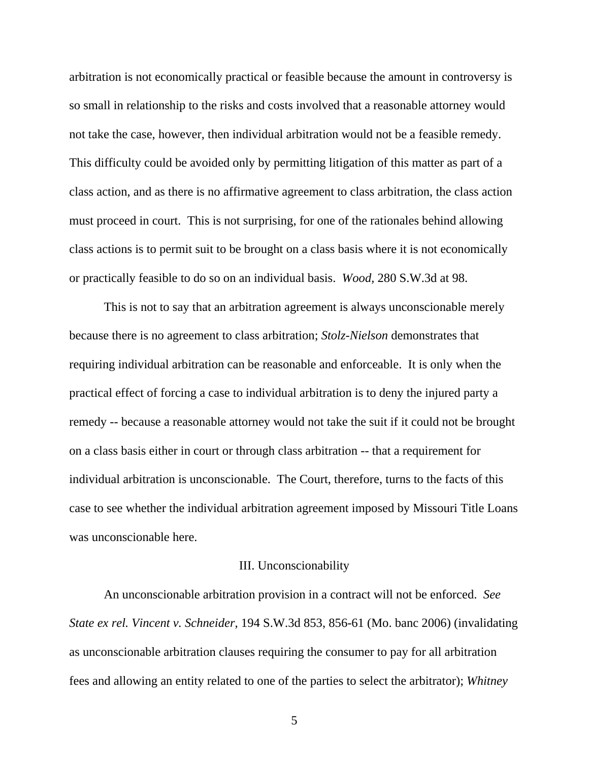arbitration is not economically practical or feasible because the amount in controversy is so small in relationship to the risks and costs involved that a reasonable attorney would not take the case, however, then individual arbitration would not be a feasible remedy. This difficulty could be avoided only by permitting litigation of this matter as part of a class action, and as there is no affirmative agreement to class arbitration, the class action must proceed in court. This is not surprising, for one of the rationales behind allowing class actions is to permit suit to be brought on a class basis where it is not economically or practically feasible to do so on an individual basis. *Wood,* 280 S.W.3d at 98.

This is not to say that an arbitration agreement is always unconscionable merely because there is no agreement to class arbitration; *Stolz-Nielson* demonstrates that requiring individual arbitration can be reasonable and enforceable. It is only when the practical effect of forcing a case to individual arbitration is to deny the injured party a remedy -- because a reasonable attorney would not take the suit if it could not be brought on a class basis either in court or through class arbitration -- that a requirement for individual arbitration is unconscionable. The Court, therefore, turns to the facts of this case to see whether the individual arbitration agreement imposed by Missouri Title Loans was unconscionable here.

### III. Unconscionability

An unconscionable arbitration provision in a contract will not be enforced. *See State ex rel. Vincent v. Schneider*, 194 S.W.3d 853, 856-61 (Mo. banc 2006) (invalidating as unconscionable arbitration clauses requiring the consumer to pay for all arbitration fees and allowing an entity related to one of the parties to select the arbitrator); *Whitney*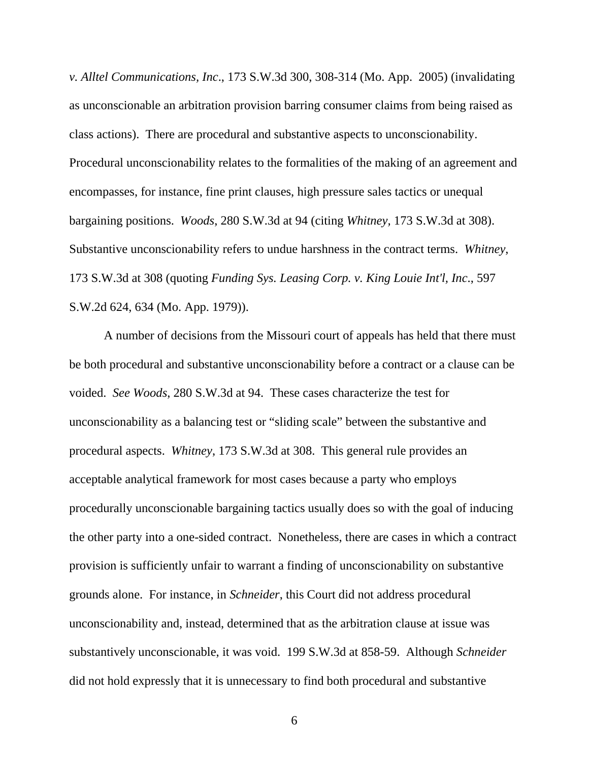*v. Alltel Communications, Inc*., 173 S.W.3d 300, 308-314 (Mo. App. 2005) (invalidating as unconscionable an arbitration provision barring consumer claims from being raised as class actions). There are procedural and substantive aspects to unconscionability. Procedural unconscionability relates to the formalities of the making of an agreement and encompasses, for instance, fine print clauses, high pressure sales tactics or unequal bargaining positions. *Woods*, 280 S.W.3d at 94 (citing *Whitney,* 173 S.W.3d at 308). Substantive unconscionability refers to undue harshness in the contract terms. *Whitney*, 173 S.W.3d at 308 (quoting *Funding Sys. Leasing Corp. v. King Louie Int'l, Inc*., 597 S.W.2d 624, 634 (Mo. App. 1979)).

A number of decisions from the Missouri court of appeals has held that there must be both procedural and substantive unconscionability before a contract or a clause can be voided. *See Woods*, 280 S.W.3d at 94. These cases characterize the test for unconscionability as a balancing test or "sliding scale" between the substantive and procedural aspects. *Whitney*, 173 S.W.3d at 308. This general rule provides an acceptable analytical framework for most cases because a party who employs procedurally unconscionable bargaining tactics usually does so with the goal of inducing the other party into a one-sided contract. Nonetheless, there are cases in which a contract provision is sufficiently unfair to warrant a finding of unconscionability on substantive grounds alone. For instance, in *Schneider*, this Court did not address procedural unconscionability and, instead, determined that as the arbitration clause at issue was substantively unconscionable, it was void. 199 S.W.3d at 858-59. Although *Schneider*  did not hold expressly that it is unnecessary to find both procedural and substantive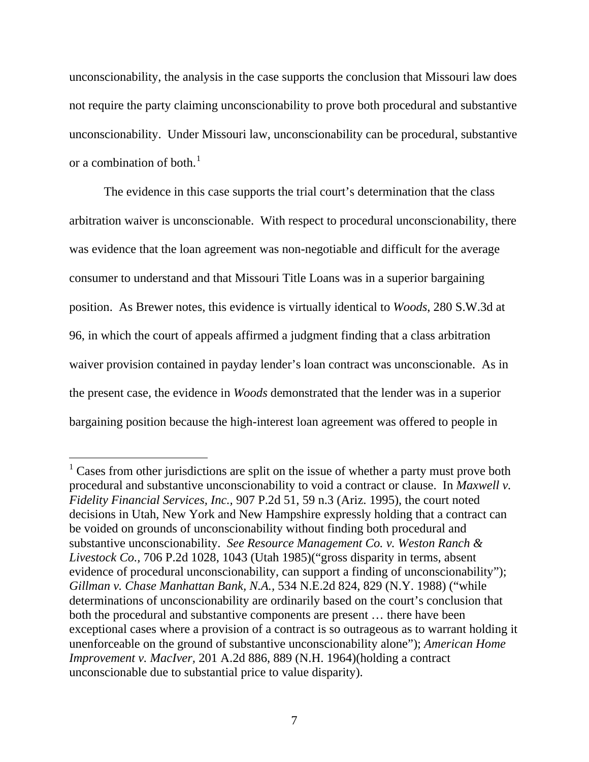unconscionability, the analysis in the case supports the conclusion that Missouri law does not require the party claiming unconscionability to prove both procedural and substantive unconscionability. Under Missouri law, unconscionability can be procedural, substantive or a combination of both. $<sup>1</sup>$  $<sup>1</sup>$  $<sup>1</sup>$ </sup>

The evidence in this case supports the trial court's determination that the class arbitration waiver is unconscionable. With respect to procedural unconscionability, there was evidence that the loan agreement was non-negotiable and difficult for the average consumer to understand and that Missouri Title Loans was in a superior bargaining position. As Brewer notes, this evidence is virtually identical to *Woods*, 280 S.W.3d at 96, in which the court of appeals affirmed a judgment finding that a class arbitration waiver provision contained in payday lender's loan contract was unconscionable. As in the present case, the evidence in *Woods* demonstrated that the lender was in a superior bargaining position because the high-interest loan agreement was offered to people in

<span id="page-6-0"></span> $1$  Cases from other jurisdictions are split on the issue of whether a party must prove both procedural and substantive unconscionability to void a contract or clause. In *Maxwell v. Fidelity Financial Services, Inc.,* 907 P.2d 51, 59 n.3 (Ariz. 1995), the court noted decisions in Utah, New York and New Hampshire expressly holding that a contract can be voided on grounds of unconscionability without finding both procedural and substantive unconscionability. *See Resource Management Co. v. Weston Ranch & Livestock Co.,* 706 P.2d 1028, 1043 (Utah 1985)("gross disparity in terms, absent evidence of procedural unconscionability, can support a finding of unconscionability"); *Gillman v. Chase Manhattan Bank, N.A.,* 534 N.E.2d 824, 829 (N.Y. 1988) ("while determinations of unconscionability are ordinarily based on the court's conclusion that both the procedural and substantive components are present … there have been exceptional cases where a provision of a contract is so outrageous as to warrant holding it unenforceable on the ground of substantive unconscionability alone"); *American Home Improvement v. MacIver,* 201 A.2d 886, 889 (N.H. 1964)(holding a contract unconscionable due to substantial price to value disparity).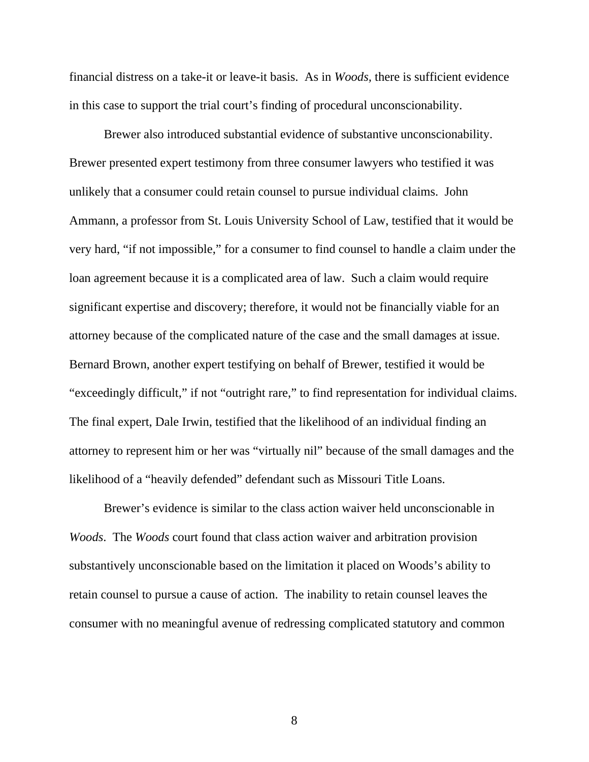financial distress on a take-it or leave-it basis. As in *Woods,* there is sufficient evidence in this case to support the trial court's finding of procedural unconscionability.

Brewer also introduced substantial evidence of substantive unconscionability. Brewer presented expert testimony from three consumer lawyers who testified it was unlikely that a consumer could retain counsel to pursue individual claims. John Ammann, a professor from St. Louis University School of Law, testified that it would be very hard, "if not impossible," for a consumer to find counsel to handle a claim under the loan agreement because it is a complicated area of law. Such a claim would require significant expertise and discovery; therefore, it would not be financially viable for an attorney because of the complicated nature of the case and the small damages at issue. Bernard Brown, another expert testifying on behalf of Brewer, testified it would be "exceedingly difficult," if not "outright rare," to find representation for individual claims. The final expert, Dale Irwin, testified that the likelihood of an individual finding an attorney to represent him or her was "virtually nil" because of the small damages and the likelihood of a "heavily defended" defendant such as Missouri Title Loans.

Brewer's evidence is similar to the class action waiver held unconscionable in *Woods*. The *Woods* court found that class action waiver and arbitration provision substantively unconscionable based on the limitation it placed on Woods's ability to retain counsel to pursue a cause of action. The inability to retain counsel leaves the consumer with no meaningful avenue of redressing complicated statutory and common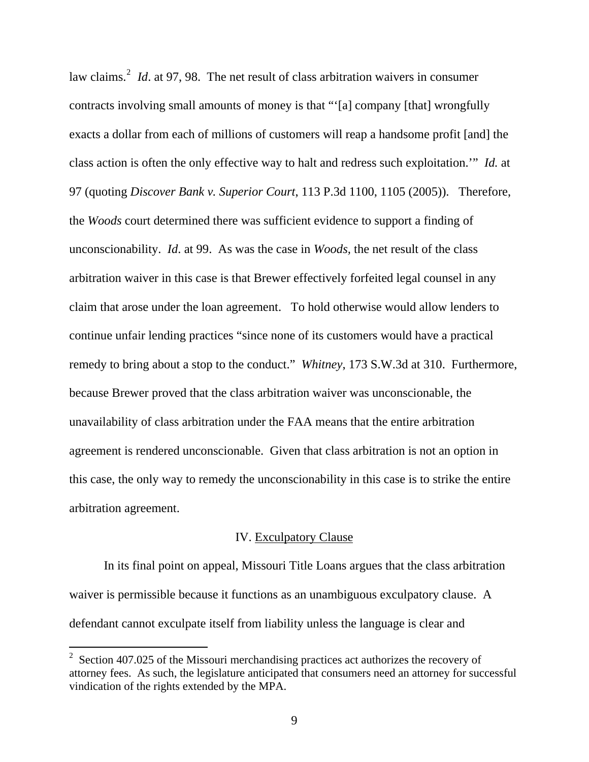law claims.<sup>[2](#page-8-0)</sup> *Id.* at 97, 98. The net result of class arbitration waivers in consumer contracts involving small amounts of money is that "'[a] company [that] wrongfully exacts a dollar from each of millions of customers will reap a handsome profit [and] the class action is often the only effective way to halt and redress such exploitation.'" *Id.* at 97 (quoting *Discover Bank v. Superior Court*, 113 P.3d 1100, 1105 (2005)). Therefore, the *Woods* court determined there was sufficient evidence to support a finding of unconscionability. *Id*. at 99. As was the case in *Woods,* the net result of the class arbitration waiver in this case is that Brewer effectively forfeited legal counsel in any claim that arose under the loan agreement. To hold otherwise would allow lenders to continue unfair lending practices "since none of its customers would have a practical remedy to bring about a stop to the conduct." *Whitney*, 173 S.W.3d at 310. Furthermore, because Brewer proved that the class arbitration waiver was unconscionable, the unavailability of class arbitration under the FAA means that the entire arbitration agreement is rendered unconscionable. Given that class arbitration is not an option in this case, the only way to remedy the unconscionability in this case is to strike the entire arbitration agreement.

### IV. Exculpatory Clause

In its final point on appeal, Missouri Title Loans argues that the class arbitration waiver is permissible because it functions as an unambiguous exculpatory clause. A defendant cannot exculpate itself from liability unless the language is clear and

 $\overline{a}$ 

<span id="page-8-0"></span> $2^2$  Section 407.025 of the Missouri merchandising practices act authorizes the recovery of attorney fees. As such, the legislature anticipated that consumers need an attorney for successful vindication of the rights extended by the MPA.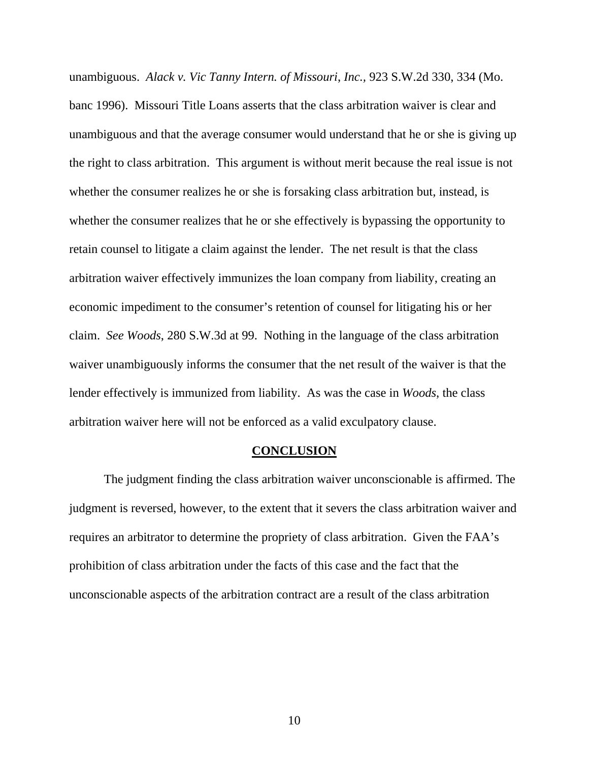unambiguous. *Alack v. Vic Tanny Intern. of Missouri*, *Inc.,* 923 S.W.2d 330, 334 (Mo. banc 1996). Missouri Title Loans asserts that the class arbitration waiver is clear and unambiguous and that the average consumer would understand that he or she is giving up the right to class arbitration. This argument is without merit because the real issue is not whether the consumer realizes he or she is forsaking class arbitration but, instead, is whether the consumer realizes that he or she effectively is bypassing the opportunity to retain counsel to litigate a claim against the lender. The net result is that the class arbitration waiver effectively immunizes the loan company from liability, creating an economic impediment to the consumer's retention of counsel for litigating his or her claim. *See Woods*, 280 S.W.3d at 99. Nothing in the language of the class arbitration waiver unambiguously informs the consumer that the net result of the waiver is that the lender effectively is immunized from liability. As was the case in *Woods*, the class arbitration waiver here will not be enforced as a valid exculpatory clause.

#### **CONCLUSION**

 The judgment finding the class arbitration waiver unconscionable is affirmed. The judgment is reversed, however, to the extent that it severs the class arbitration waiver and requires an arbitrator to determine the propriety of class arbitration. Given the FAA's prohibition of class arbitration under the facts of this case and the fact that the unconscionable aspects of the arbitration contract are a result of the class arbitration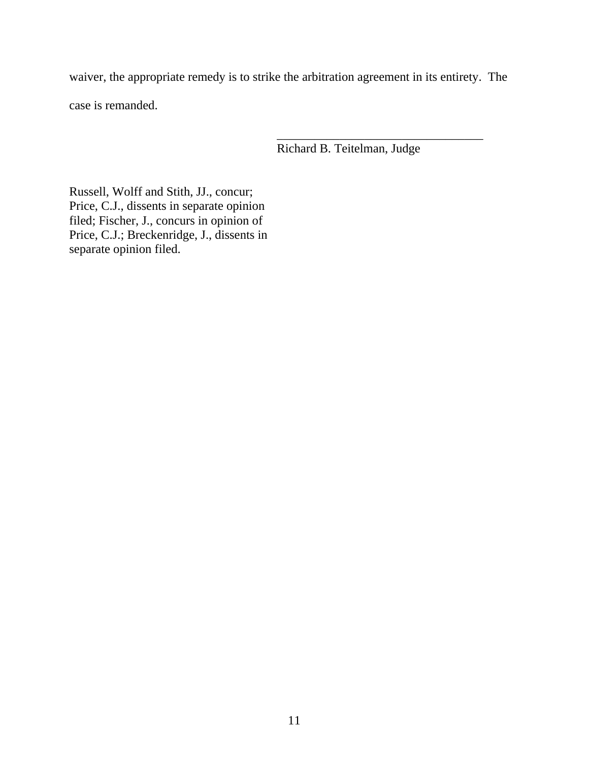waiver, the appropriate remedy is to strike the arbitration agreement in its entirety. The case is remanded.

Richard B. Teitelman, Judge

\_\_\_\_\_\_\_\_\_\_\_\_\_\_\_\_\_\_\_\_\_\_\_\_\_\_\_\_\_\_\_\_\_

Russell, Wolff and Stith, JJ., concur; Price, C.J., dissents in separate opinion filed; Fischer, J., concurs in opinion of Price, C.J.; Breckenridge, J., dissents in separate opinion filed.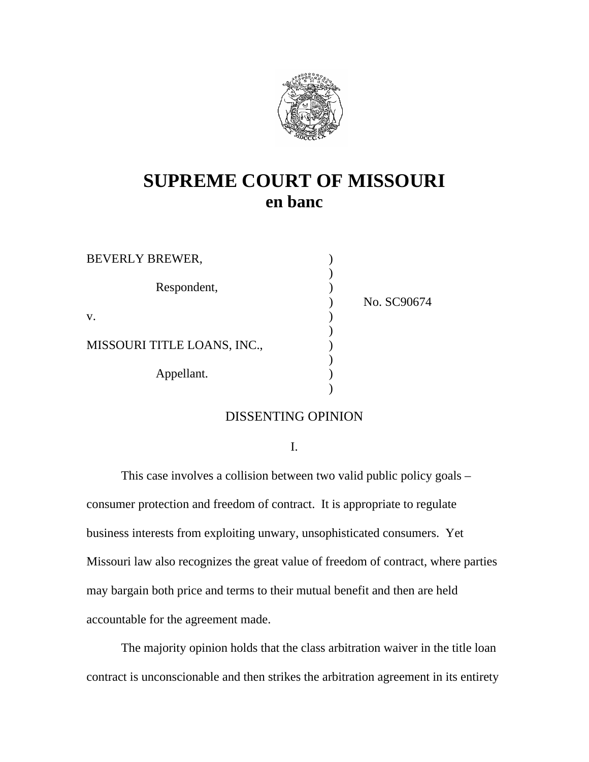

# **SUPREME COURT OF MISSOURI en banc**

| <b>BEVERLY BREWER,</b>      |             |
|-----------------------------|-------------|
| Respondent,                 | No. SC90674 |
| V.                          |             |
| MISSOURI TITLE LOANS, INC., |             |
| Appellant.                  |             |

### DISSENTING OPINION

I.

This case involves a collision between two valid public policy goals – consumer protection and freedom of contract. It is appropriate to regulate business interests from exploiting unwary, unsophisticated consumers. Yet Missouri law also recognizes the great value of freedom of contract, where parties may bargain both price and terms to their mutual benefit and then are held accountable for the agreement made.

The majority opinion holds that the class arbitration waiver in the title loan contract is unconscionable and then strikes the arbitration agreement in its entirety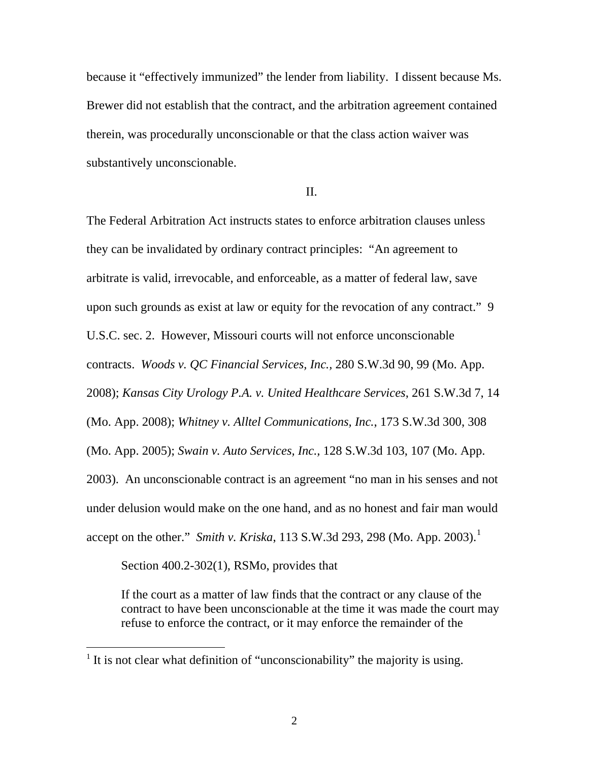because it "effectively immunized" the lender from liability. I dissent because Ms. Brewer did not establish that the contract, and the arbitration agreement contained therein, was procedurally unconscionable or that the class action waiver was substantively unconscionable.

II.

The Federal Arbitration Act instructs states to enforce arbitration clauses unless they can be invalidated by ordinary contract principles: "An agreement to arbitrate is valid, irrevocable, and enforceable, as a matter of federal law, save upon such grounds as exist at law or equity for the revocation of any contract." 9 U.S.C. sec. 2. However, Missouri courts will not enforce unconscionable contracts. *Woods v. QC Financial Services, Inc.,* 280 S.W.3d 90, 99 (Mo. App. 2008); *Kansas City Urology P.A. v. United Healthcare Services*, 261 S.W.3d 7, 14 (Mo. App. 2008); *Whitney v. Alltel Communications, Inc.*, 173 S.W.3d 300, 308 (Mo. App. 2005); *Swain v. Auto Services, Inc.,* 128 S.W.3d 103, 107 (Mo. App. 2003). An unconscionable contract is an agreement "no man in his senses and not under delusion would make on the one hand, and as no honest and fair man would accept on the other." *Smith v. Kriska*, [1](#page-12-0)13 S.W.3d 293, 298 (Mo. App. 2003).<sup>1</sup>

Section 400.2-302(1), RSMo, provides that

 $\overline{a}$ 

If the court as a matter of law finds that the contract or any clause of the contract to have been unconscionable at the time it was made the court may refuse to enforce the contract, or it may enforce the remainder of the

<span id="page-12-0"></span> $<sup>1</sup>$  It is not clear what definition of "unconscionability" the majority is using.</sup>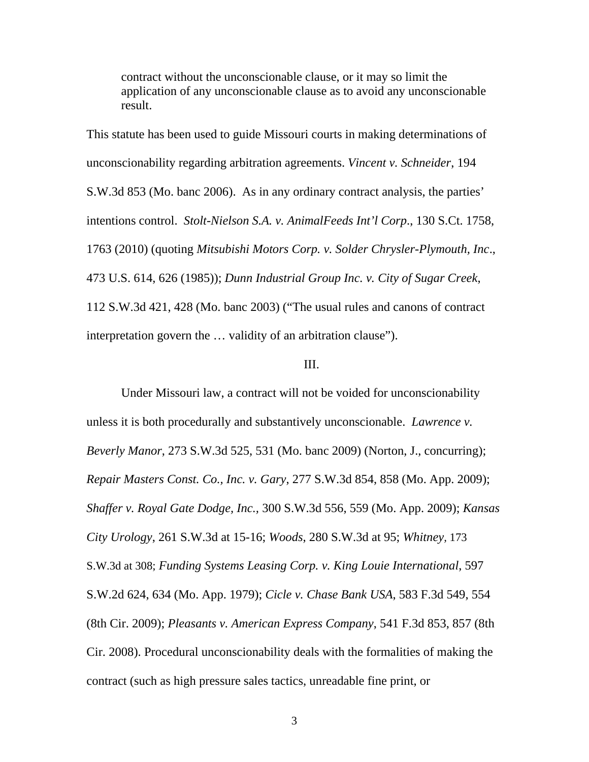contract without the unconscionable clause, or it may so limit the application of any unconscionable clause as to avoid any unconscionable result.

This statute has been used to guide Missouri courts in making determinations of unconscionability regarding arbitration agreements. *Vincent v. Schneider*, 194 S.W.3d 853 (Mo. banc 2006). As in any ordinary contract analysis, the parties' intentions control. *Stolt-Nielson S.A. v. AnimalFeeds Int'l Corp*., 130 S.Ct. 1758, 1763 (2010) (quoting *Mitsubishi Motors Corp. v. Solder Chrysler-Plymouth, Inc*., 473 U.S. 614, 626 (1985)); *Dunn Industrial Group Inc. v. City of Sugar Creek*, 112 S.W.3d 421, 428 (Mo. banc 2003) ("The usual rules and canons of contract interpretation govern the … validity of an arbitration clause").

### III.

Under Missouri law, a contract will not be voided for unconscionability unless it is both procedurally and substantively unconscionable. *Lawrence v. Beverly Manor*, 273 S.W.3d 525, 531 (Mo. banc 2009) (Norton, J., concurring); *Repair Masters Const. Co., Inc. v. Gary*, 277 S.W.3d 854, 858 (Mo. App. 2009); *Shaffer v. Royal Gate Dodge, Inc.,* 300 S.W.3d 556, 559 (Mo. App. 2009); *Kansas City Urology*, 261 S.W.3d at 15-16; *Woods*, 280 S.W.3d at 95; *Whitney,* 173 S.W.3d at 308; *Funding Systems Leasing Corp. v. King Louie International*, 597 S.W.2d 624, 634 (Mo. App. 1979); *Cicle v. Chase Bank USA*, 583 F.3d 549, 554 (8th Cir. 2009); *Pleasants v. American Express Company*, 541 F.3d 853, 857 (8th Cir. 2008). Procedural unconscionability deals with the formalities of making the contract (such as high pressure sales tactics, unreadable fine print, or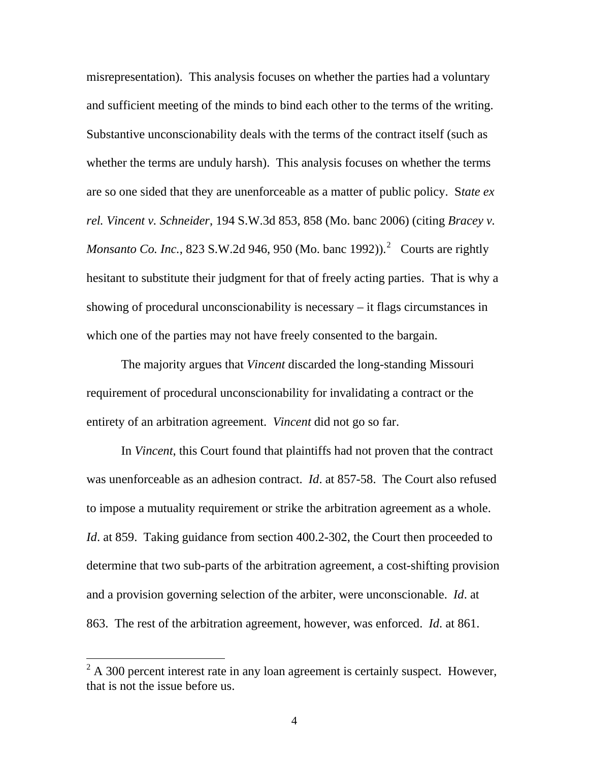misrepresentation). This analysis focuses on whether the parties had a voluntary and sufficient meeting of the minds to bind each other to the terms of the writing. Substantive unconscionability deals with the terms of the contract itself (such as whether the terms are unduly harsh). This analysis focuses on whether the terms are so one sided that they are unenforceable as a matter of public policy. S*tate ex rel. Vincent v. Schneider*, 194 S.W.3d 853, 858 (Mo. banc 2006) (citing *Bracey v. Monsanto Co. Inc.*, 8[2](#page-14-0)3 S.W.2d 946, 950 (Mo. banc 1992)).<sup>2</sup> Courts are rightly hesitant to substitute their judgment for that of freely acting parties. That is why a showing of procedural unconscionability is necessary – it flags circumstances in which one of the parties may not have freely consented to the bargain.

The majority argues that *Vincent* discarded the long-standing Missouri requirement of procedural unconscionability for invalidating a contract or the entirety of an arbitration agreement. *Vincent* did not go so far.

In *Vincent*, this Court found that plaintiffs had not proven that the contract was unenforceable as an adhesion contract. *Id*. at 857-58. The Court also refused to impose a mutuality requirement or strike the arbitration agreement as a whole. *Id.* at 859. Taking guidance from section 400.2-302, the Court then proceeded to determine that two sub-parts of the arbitration agreement, a cost-shifting provision and a provision governing selection of the arbiter, were unconscionable. *Id*. at 863. The rest of the arbitration agreement, however, was enforced. *Id*. at 861.

 $\overline{a}$ 

<span id="page-14-0"></span> $2^2$  A 300 percent interest rate in any loan agreement is certainly suspect. However, that is not the issue before us.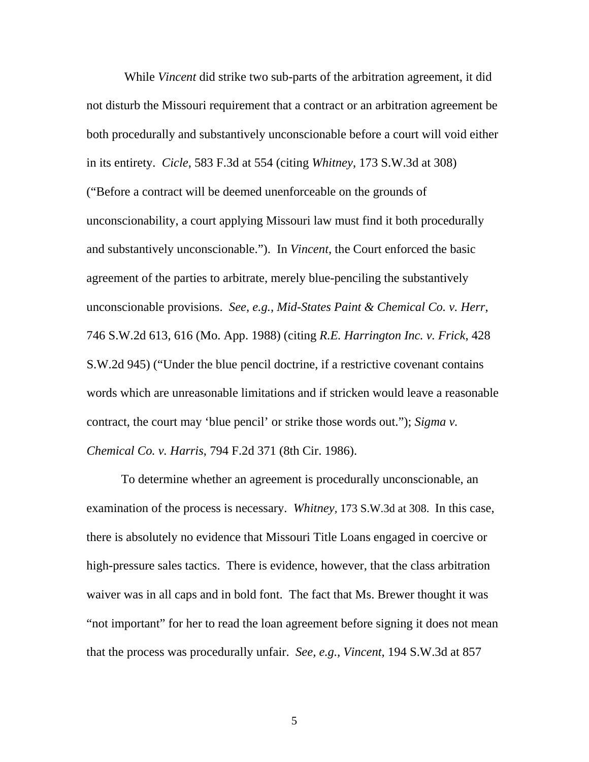While *Vincent* did strike two sub-parts of the arbitration agreement, it did not disturb the Missouri requirement that a contract or an arbitration agreement be both procedurally and substantively unconscionable before a court will void either in its entirety. *Cicle*, 583 F.3d at 554 (citing *Whitney*, 173 S.W.3d at 308) ("Before a contract will be deemed unenforceable on the grounds of unconscionability, a court applying Missouri law must find it both procedurally and substantively unconscionable."). In *Vincent*, the Court enforced the basic agreement of the parties to arbitrate, merely blue-penciling the substantively unconscionable provisions. *See, e.g., Mid-States Paint & Chemical Co. v. Herr*, 746 S.W.2d 613, 616 (Mo. App. 1988) (citing *R.E. Harrington Inc. v. Frick*, 428 S.W.2d 945) ("Under the blue pencil doctrine, if a restrictive covenant contains words which are unreasonable limitations and if stricken would leave a reasonable contract, the court may 'blue pencil' or strike those words out."); *Sigma v. Chemical Co. v. Harris*, 794 F.2d 371 (8th Cir. 1986).

To determine whether an agreement is procedurally unconscionable, an examination of the process is necessary. *Whitney,* 173 S.W.3d at 308. In this case, there is absolutely no evidence that Missouri Title Loans engaged in coercive or high-pressure sales tactics. There is evidence, however, that the class arbitration waiver was in all caps and in bold font. The fact that Ms. Brewer thought it was "not important" for her to read the loan agreement before signing it does not mean that the process was procedurally unfair. *See, e.g., Vincent*, 194 S.W.3d at 857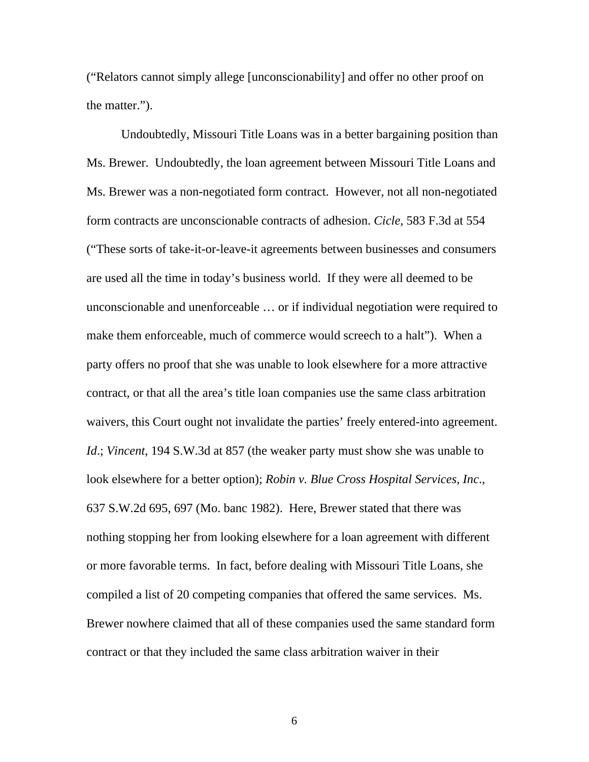("Relators cannot simply allege [unconscionability] and offer no other proof on the matter.").

Undoubtedly, Missouri Title Loans was in a better bargaining position than Ms. Brewer. Undoubtedly, the loan agreement between Missouri Title Loans and Ms. Brewer was a non-negotiated form contract. However, not all non-negotiated form contracts are unconscionable contracts of adhesion. *Cicle*, 583 F.3d at 554 ("These sorts of take-it-or-leave-it agreements between businesses and consumers are used all the time in today's business world. If they were all deemed to be unconscionable and unenforceable … or if individual negotiation were required to make them enforceable, much of commerce would screech to a halt"). When a party offers no proof that she was unable to look elsewhere for a more attractive contract, or that all the area's title loan companies use the same class arbitration waivers, this Court ought not invalidate the parties' freely entered-into agreement. *Id*.; *Vincent*, 194 S.W.3d at 857 (the weaker party must show she was unable to look elsewhere for a better option); *Robin v. Blue Cross Hospital Services, Inc*., 637 S.W.2d 695, 697 (Mo. banc 1982). Here, Brewer stated that there was nothing stopping her from looking elsewhere for a loan agreement with different or more favorable terms. In fact, before dealing with Missouri Title Loans, she compiled a list of 20 competing companies that offered the same services. Ms. Brewer nowhere claimed that all of these companies used the same standard form contract or that they included the same class arbitration waiver in their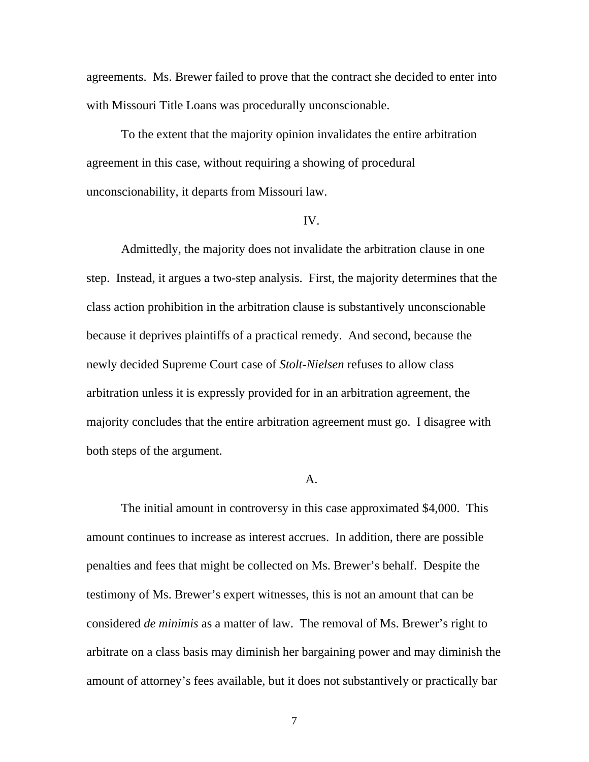agreements. Ms. Brewer failed to prove that the contract she decided to enter into with Missouri Title Loans was procedurally unconscionable.

To the extent that the majority opinion invalidates the entire arbitration agreement in this case, without requiring a showing of procedural unconscionability, it departs from Missouri law.

### IV.

Admittedly, the majority does not invalidate the arbitration clause in one step. Instead, it argues a two-step analysis. First, the majority determines that the class action prohibition in the arbitration clause is substantively unconscionable because it deprives plaintiffs of a practical remedy. And second, because the newly decided Supreme Court case of *Stolt-Nielsen* refuses to allow class arbitration unless it is expressly provided for in an arbitration agreement, the majority concludes that the entire arbitration agreement must go. I disagree with both steps of the argument.

### A.

The initial amount in controversy in this case approximated \$4,000. This amount continues to increase as interest accrues. In addition, there are possible penalties and fees that might be collected on Ms. Brewer's behalf. Despite the testimony of Ms. Brewer's expert witnesses, this is not an amount that can be considered *de minimis* as a matter of law. The removal of Ms. Brewer's right to arbitrate on a class basis may diminish her bargaining power and may diminish the amount of attorney's fees available, but it does not substantively or practically bar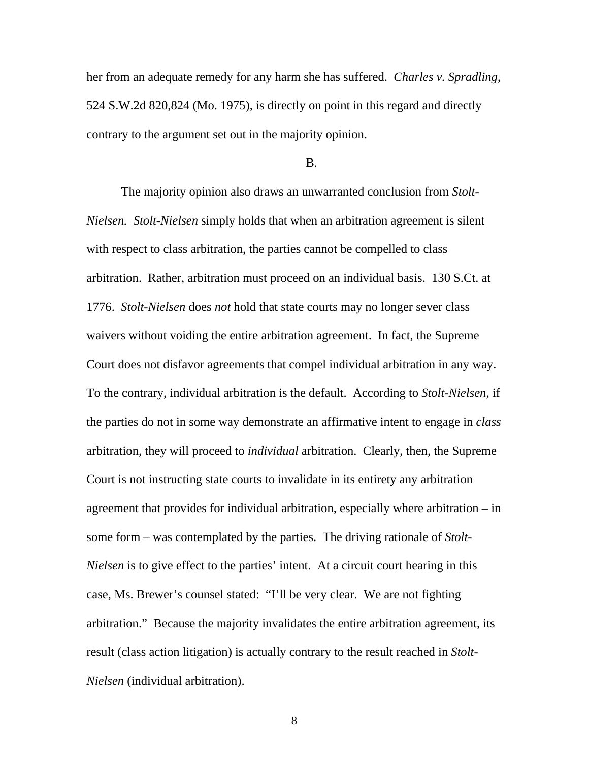her from an adequate remedy for any harm she has suffered. *Charles v. Spradling*, 524 S.W.2d 820,824 (Mo. 1975), is directly on point in this regard and directly contrary to the argument set out in the majority opinion.

#### B.

The majority opinion also draws an unwarranted conclusion from *Stolt-Nielsen. Stolt-Nielsen* simply holds that when an arbitration agreement is silent with respect to class arbitration, the parties cannot be compelled to class arbitration. Rather, arbitration must proceed on an individual basis. 130 S.Ct. at 1776. *Stolt-Nielsen* does *not* hold that state courts may no longer sever class waivers without voiding the entire arbitration agreement. In fact, the Supreme Court does not disfavor agreements that compel individual arbitration in any way. To the contrary, individual arbitration is the default. According to *Stolt-Nielsen*, if the parties do not in some way demonstrate an affirmative intent to engage in *class* arbitration, they will proceed to *individual* arbitration. Clearly, then, the Supreme Court is not instructing state courts to invalidate in its entirety any arbitration agreement that provides for individual arbitration, especially where arbitration – in some form – was contemplated by the parties. The driving rationale of *Stolt-Nielsen* is to give effect to the parties' intent. At a circuit court hearing in this case, Ms. Brewer's counsel stated: "I'll be very clear. We are not fighting arbitration." Because the majority invalidates the entire arbitration agreement, its result (class action litigation) is actually contrary to the result reached in *Stolt-Nielsen* (individual arbitration).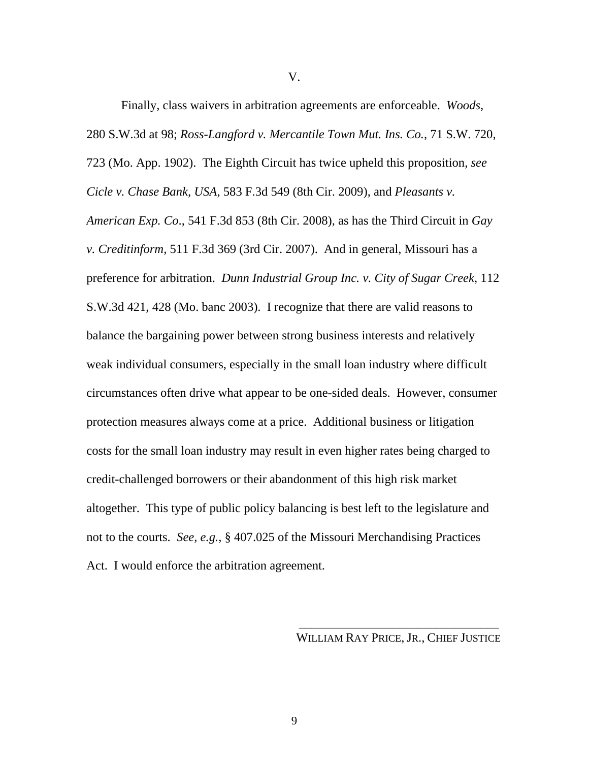Finally, class waivers in arbitration agreements are enforceable. *Woods,* 280 S.W.3d at 98; *Ross-Langford v. Mercantile Town Mut. Ins. Co.*, 71 S.W. 720, 723 (Mo. App. 1902). The Eighth Circuit has twice upheld this proposition, *see Cicle v. Chase Bank, USA*, 583 F.3d 549 (8th Cir. 2009), and *Pleasants v. American Exp. Co*., 541 F.3d 853 (8th Cir. 2008), as has the Third Circuit in *Gay v. Creditinform*, 511 F.3d 369 (3rd Cir. 2007). And in general, Missouri has a preference for arbitration. *Dunn Industrial Group Inc. v. City of Sugar Creek*, 112 S.W.3d 421, 428 (Mo. banc 2003). I recognize that there are valid reasons to balance the bargaining power between strong business interests and relatively weak individual consumers, especially in the small loan industry where difficult circumstances often drive what appear to be one-sided deals. However, consumer protection measures always come at a price. Additional business or litigation costs for the small loan industry may result in even higher rates being charged to credit-challenged borrowers or their abandonment of this high risk market altogether. This type of public policy balancing is best left to the legislature and not to the courts. *See, e.g.,* § 407.025 of the Missouri Merchandising Practices Act. I would enforce the arbitration agreement.

WILLIAM RAY PRICE, JR., CHIEF JUSTICE

V.

 $\frac{1}{\sqrt{2}}$  ,  $\frac{1}{\sqrt{2}}$  ,  $\frac{1}{\sqrt{2}}$  ,  $\frac{1}{\sqrt{2}}$  ,  $\frac{1}{\sqrt{2}}$  ,  $\frac{1}{\sqrt{2}}$  ,  $\frac{1}{\sqrt{2}}$  ,  $\frac{1}{\sqrt{2}}$  ,  $\frac{1}{\sqrt{2}}$  ,  $\frac{1}{\sqrt{2}}$  ,  $\frac{1}{\sqrt{2}}$  ,  $\frac{1}{\sqrt{2}}$  ,  $\frac{1}{\sqrt{2}}$  ,  $\frac{1}{\sqrt{2}}$  ,  $\frac{1}{\sqrt{2}}$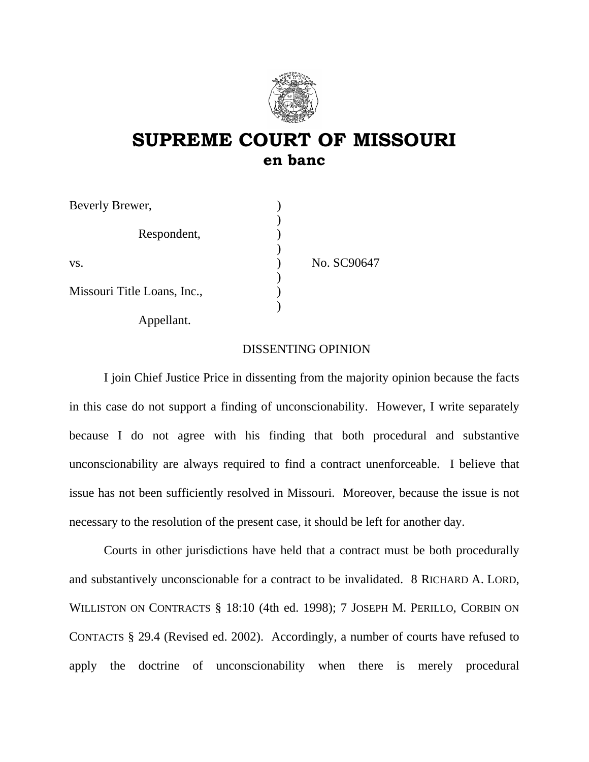

## **SUPREME COURT OF MISSOURI en banc**

| Beverly Brewer,             |             |
|-----------------------------|-------------|
| Respondent,                 |             |
| VS.                         | No. SC90647 |
| Missouri Title Loans, Inc., |             |

Appellant.

### DISSENTING OPINION

I join Chief Justice Price in dissenting from the majority opinion because the facts in this case do not support a finding of unconscionability. However, I write separately because I do not agree with his finding that both procedural and substantive unconscionability are always required to find a contract unenforceable. I believe that issue has not been sufficiently resolved in Missouri. Moreover, because the issue is not necessary to the resolution of the present case, it should be left for another day.

Courts in other jurisdictions have held that a contract must be both procedurally and substantively unconscionable for a contract to be invalidated. 8 RICHARD A. LORD, WILLISTON ON CONTRACTS § 18:10 (4th ed. 1998); 7 JOSEPH M. PERILLO, CORBIN ON CONTACTS § 29.4 (Revised ed. 2002). Accordingly, a number of courts have refused to apply the doctrine of unconscionability when there is merely procedural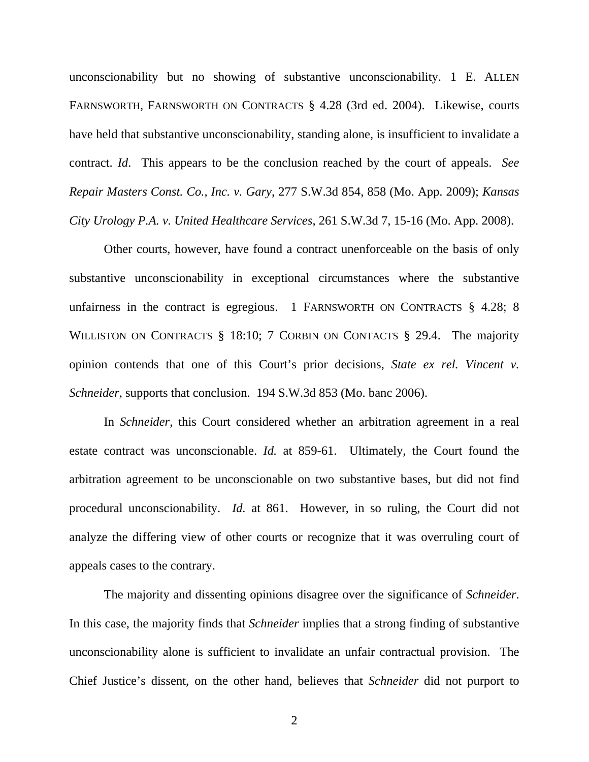unconscionability but no showing of substantive unconscionability. 1 E. ALLEN FARNSWORTH, FARNSWORTH ON CONTRACTS § 4.28 (3rd ed. 2004). Likewise, courts have held that substantive unconscionability, standing alone, is insufficient to invalidate a contract. *Id*. This appears to be the conclusion reached by the court of appeals. *See Repair Masters Const. Co., Inc. v. Gary*, 277 S.W.3d 854, 858 (Mo. App. 2009); *Kansas City Urology P.A. v. United Healthcare Services*, 261 S.W.3d 7, 15-16 (Mo. App. 2008).

Other courts, however, have found a contract unenforceable on the basis of only substantive unconscionability in exceptional circumstances where the substantive unfairness in the contract is egregious. 1 FARNSWORTH ON CONTRACTS  $\S$  4.28; 8 WILLISTON ON CONTRACTS § 18:10; 7 CORBIN ON CONTACTS § 29.4. The majority opinion contends that one of this Court's prior decisions, *State ex rel. Vincent v. Schneider*, supports that conclusion. 194 S.W.3d 853 (Mo. banc 2006).

In *Schneider*, this Court considered whether an arbitration agreement in a real estate contract was unconscionable. *Id.* at 859-61. Ultimately, the Court found the arbitration agreement to be unconscionable on two substantive bases, but did not find procedural unconscionability. *Id.* at 861. However, in so ruling, the Court did not analyze the differing view of other courts or recognize that it was overruling court of appeals cases to the contrary.

The majority and dissenting opinions disagree over the significance of *Schneider*. In this case, the majority finds that *Schneider* implies that a strong finding of substantive unconscionability alone is sufficient to invalidate an unfair contractual provision. The Chief Justice's dissent, on the other hand, believes that *Schneider* did not purport to